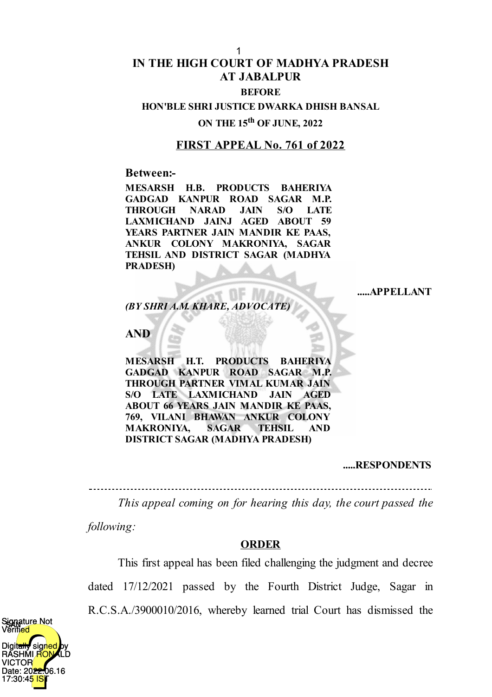# **IN THE HIGH COURT OF MADHYA PRADESH AT JABALPUR**

#### **BEFORE**

#### **HON'BLE SHRI JUSTICE DWARKA DHISH BANSAL**

# **ON THE 15 th OF JUNE, 2022**

## **FIRST APPEAL No. 761 of 2022**

#### **Between:-**

**MESARSH H.B. PRODUCTS BAHERIYA GADGAD KANPUR ROAD SAGAR M.P. THROUGH NARAD JAIN S/O LATE LAXMICHAND JAINJ AGED ABOUT 59 YEARS PARTNER JAIN MANDIR KE PAAS, ANKUR COLONY MAKRONIYA, SAGAR TEHSIL AND DISTRICT SAGAR (MADHYA PRADESH)**

**.....APPELLANT**

*(BY SHRI A.M. KHARE, ADVOCATE)*

# **AND**

**MESARSH H.T. PRODUCTS BAHERIYA GADGAD KANPUR ROAD SAGAR M.P. THROUGH PARTNER VIMAL KUMAR JAIN S/O LATE LAXMICHAND JAIN AGED ABOUT 66 YEARS JAIN MANDIR KE PAAS, 769, VILANI BHAWAN ANKUR COLONY MAKRONIYA, SAGAR TEHSIL AND DISTRICT SAGAR (MADHYA PRADESH)**

#### **.....RESPONDENTS**

*This appeal coming on for hearing this day, the court passed the*

*following:*

### **ORDER**

This first appeal has been filed challenging the judgment and decree dated 17/12/2021 passed by the Fourth District Judge, Sagar in R.C.S.A./3900010/2016, whereby learned trial Court has dismissed the

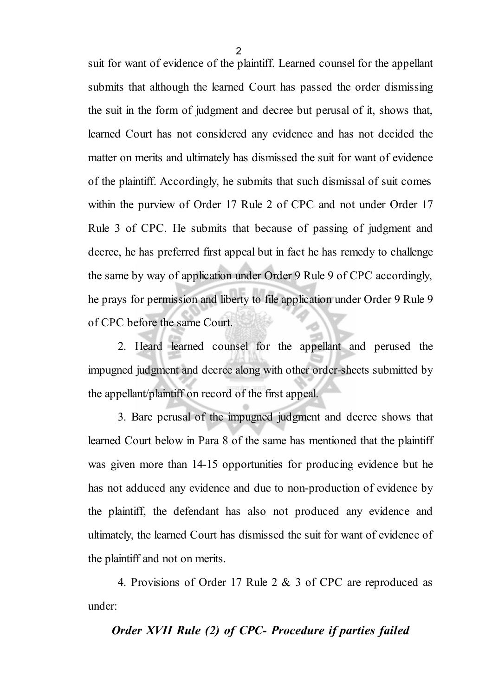suit for want of evidence of the plaintiff. Learned counsel for the appellant submits that although the learned Court has passed the order dismissing the suit in the form of judgment and decree but perusal of it, shows that, learned Court has not considered any evidence and has not decided the matter on merits and ultimately has dismissed the suit for want of evidence of the plaintiff. Accordingly, he submits that such dismissal of suit comes within the purview of Order 17 Rule 2 of CPC and not under Order 17 Rule 3 of CPC. He submits that because of passing of judgment and decree, he has preferred first appeal but in fact he has remedy to challenge the same by way of application under Order 9 Rule 9 of CPC accordingly, he prays for permission and liberty to file application under Order 9 Rule 9 of CPC before the same Court.

2. Heard learned counsel for the appellant and perused the impugned judgment and decree along with other order-sheets submitted by the appellant/plaintiff on record of the first appeal.

3. Bare perusal of the impugned judgment and decree shows that learned Court below in Para 8 of the same has mentioned that the plaintiff was given more than 14-15 opportunities for producing evidence but he has not adduced any evidence and due to non-production of evidence by the plaintiff, the defendant has also not produced any evidence and ultimately, the learned Court has dismissed the suit for want of evidence of the plaintiff and not on merits.

4. Provisions of Order 17 Rule 2 & 3 of CPC are reproduced as under:

# *Order XVII Rule (2) of CPC- Procedure if parties failed*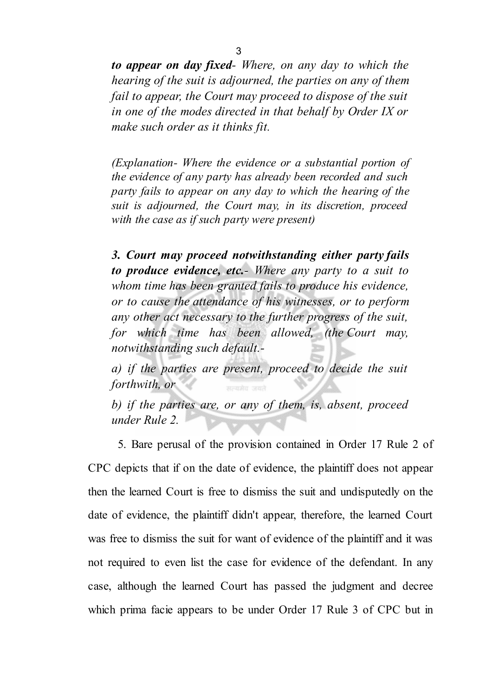*to appear on day fixed- Where, on any day to which the hearing of the suit is adjourned, the parties on any of them fail to appear, the Court may proceed to dispose of the suit in one of the modes directed in that behalf by Order IX or make such order as it thinks fit.*

*(Explanation- Where the evidence or a substantial portion of the evidence of any party has already been recorded and such party fails to appear on any day to which the hearing of the suit is adjourned, the Court may, in its discretion, proceed with the case as if such party were present)*

*3. Court may proceed notwithstanding either party fails to produce evidence, etc.- Where any party to a suit to whom time has been granted fails to produce his evidence, or to cause the attendance of his witnesses, or to perform any other act necessary to the further progress of the suit, for which time has been allowed, (the Court may, notwithstanding such default.-*

*a) if the parties are present, proceed to decide the suit forthwith, or*

*b) if the parties are, or any of them, is, absent, proceed under Rule 2.*

5. Bare perusal of the provision contained in Order 17 Rule 2 of CPC depicts that if on the date of evidence, the plaintiff does not appear then the learned Court is free to dismiss the suit and undisputedly on the date of evidence, the plaintiff didn't appear, therefore, the learned Court was free to dismiss the suit for want of evidence of the plaintiff and it was not required to even list the case for evidence of the defendant. In any case, although the learned Court has passed the judgment and decree which prima facie appears to be under Order 17 Rule 3 of CPC but in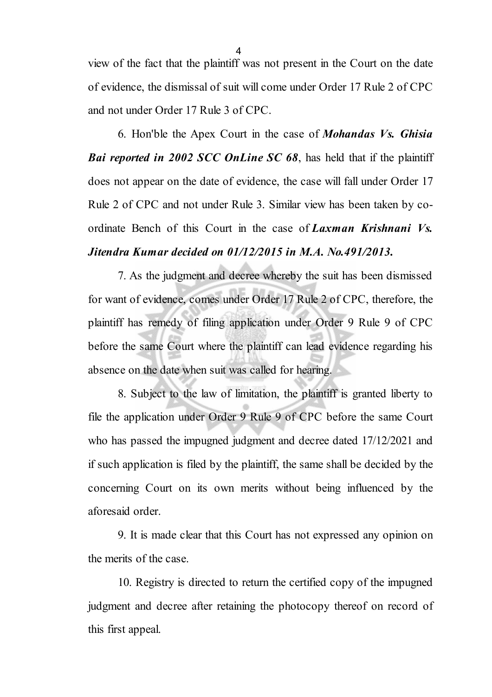view of the fact that the plaintiff was not present in the Court on the date of evidence, the dismissal of suit will come under Order 17 Rule 2 of CPC and not under Order 17 Rule 3 of CPC.

6. Hon'ble the Apex Court in the case of *Mohandas Vs. Ghisia Bai reported in 2002 SCC OnLine SC 68*, has held that if the plaintiff does not appear on the date of evidence, the case will fall under Order 17 Rule 2 of CPC and not under Rule 3. Similar view has been taken by coordinate Bench of this Court in the case of *Laxman Krishnani Vs. Jitendra Kumar decided on 01/12/2015 in M.A. No.491/2013.*

7. As the judgment and decree whereby the suit has been dismissed for want of evidence, comes under Order 17 Rule 2 of CPC, therefore, the plaintiff has remedy of filing application under Order 9 Rule 9 of CPC before the same Court where the plaintiff can lead evidence regarding his absence on the date when suit was called for hearing.

8. Subject to the law of limitation, the plaintiff is granted liberty to file the application under Order 9 Rule 9 of CPC before the same Court who has passed the impugned judgment and decree dated 17/12/2021 and if such application is filed by the plaintiff, the same shall be decided by the concerning Court on its own merits without being influenced by the aforesaid order.

9. It is made clear that this Court has not expressed any opinion on the merits of the case.

10. Registry is directed to return the certified copy of the impugned judgment and decree after retaining the photocopy thereof on record of this first appeal.